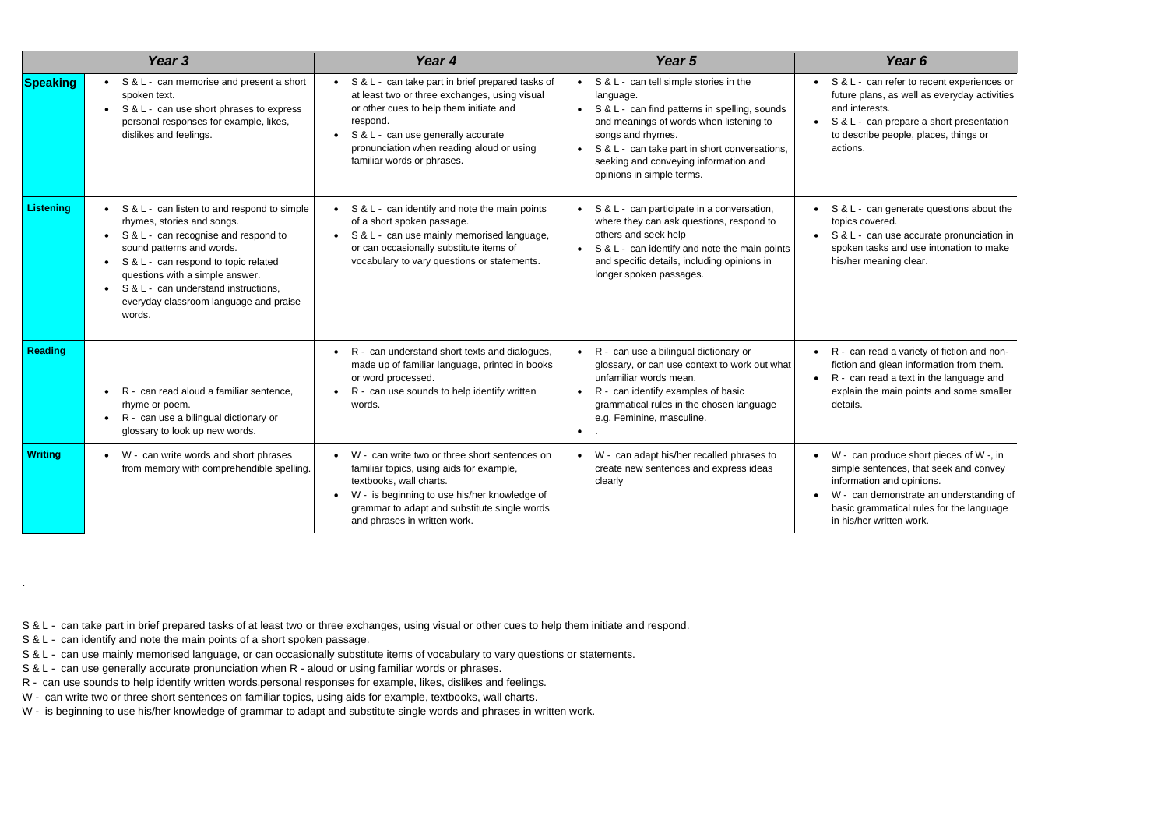| Year <sub>3</sub> |                                                                                                                                                                                                                                                                                                                                                                           | Year 4                                                                                                                                                                                                                                                                                   | Year 5                                                                                                                                                                                                                                                                                                                          | Year 6                                                                                                                                            |
|-------------------|---------------------------------------------------------------------------------------------------------------------------------------------------------------------------------------------------------------------------------------------------------------------------------------------------------------------------------------------------------------------------|------------------------------------------------------------------------------------------------------------------------------------------------------------------------------------------------------------------------------------------------------------------------------------------|---------------------------------------------------------------------------------------------------------------------------------------------------------------------------------------------------------------------------------------------------------------------------------------------------------------------------------|---------------------------------------------------------------------------------------------------------------------------------------------------|
| <b>Speaking</b>   | S & L - can memorise and present a short<br>spoken text.<br>S & L - can use short phrases to express<br>$\bullet$<br>personal responses for example, likes,<br>dislikes and feelings.                                                                                                                                                                                     | • S & L - can take part in brief prepared tasks of<br>at least two or three exchanges, using visual<br>or other cues to help them initiate and<br>respond.<br>S & L - can use generally accurate<br>$\bullet$<br>pronunciation when reading aloud or using<br>familiar words or phrases. | $\bullet$ S & L - can tell simple stories in the<br>language.<br>S & L - can find patterns in spelling, sounds<br>$\bullet$<br>and meanings of words when listening to<br>songs and rhymes.<br>S & L - can take part in short conversations,<br>$\bullet$<br>seeking and conveying information and<br>opinions in simple terms. | S & L - can refer to re<br>future plans, as well a<br>and interests.<br>S & L - can prepare a<br>to describe people, pl<br>actions.               |
| <b>Listening</b>  | S & L - can listen to and respond to simple<br>$\bullet$<br>rhymes, stories and songs.<br>S & L - can recognise and respond to<br>$\bullet$<br>sound patterns and words.<br>S & L - can respond to topic related<br>$\bullet$<br>questions with a simple answer.<br>S & L - can understand instructions,<br>$\bullet$<br>everyday classroom language and praise<br>words. | S & L - can identify and note the main points<br>$\bullet$<br>of a short spoken passage.<br>S & L - can use mainly memorised language,<br>or can occasionally substitute items of<br>vocabulary to vary questions or statements.                                                         | S & L - can participate in a conversation,<br>where they can ask questions, respond to<br>others and seek help<br>S & L - can identify and note the main points<br>$\bullet$<br>and specific details, including opinions in<br>longer spoken passages.                                                                          | S & L - can generate<br>topics covered.<br>S & L - can use accu<br>spoken tasks and use<br>his/her meaning clear                                  |
| <b>Reading</b>    | R - can read aloud a familiar sentence,<br>$\bullet$<br>rhyme or poem.<br>R - can use a bilingual dictionary or<br>glossary to look up new words.                                                                                                                                                                                                                         | R - can understand short texts and dialogues,<br>$\bullet$<br>made up of familiar language, printed in books<br>or word processed.<br>R - can use sounds to help identify written<br>words.                                                                                              | R - can use a bilingual dictionary or<br>$\bullet$<br>glossary, or can use context to work out what<br>unfamiliar words mean.<br>R - can identify examples of basic<br>grammatical rules in the chosen language<br>e.g. Feminine, masculine.                                                                                    | R - can read a variety<br>fiction and glean infor<br>R - can read a text in<br>explain the main point<br>details.                                 |
| <b>Writing</b>    | W - can write words and short phrases<br>$\bullet$<br>from memory with comprehendible spelling.                                                                                                                                                                                                                                                                           | W - can write two or three short sentences on<br>familiar topics, using aids for example,<br>textbooks, wall charts.<br>W - is beginning to use his/her knowledge of<br>grammar to adapt and substitute single words<br>and phrases in written work.                                     | W - can adapt his/her recalled phrases to<br>create new sentences and express ideas<br>clearly                                                                                                                                                                                                                                  | W - can produce sho<br>simple sentences, tha<br>information and opinio<br>W - can demonstrate<br>basic grammatical rul<br>in his/her written work |

S & L - can take part in brief prepared tasks of at least two or three exchanges, using visual or other cues to help them initiate and respond.

S & L - can identify and note the main points of a short spoken passage.

.

S & L - can use mainly memorised language, or can occasionally substitute items of vocabulary to vary questions or statements.

S & L - can use generally accurate pronunciation when R - aloud or using familiar words or phrases.

R - can use sounds to help identify written words.personal responses for example, likes, dislikes and feelings.

W - can write two or three short sentences on familiar topics, using aids for example, textbooks, wall charts.

W - is beginning to use his/her knowledge of grammar to adapt and substitute single words and phrases in written work.

refer to recent experiences or as well as everyday activities ts.

prepare a short presentation people, places, things or

generate questions about the red.

use accurate pronunciation in s and use intonation to make ning clear.

ad a variety of fiction and nonglean information from them. d a text in the language and main points and some smaller

oduce short pieces of W -, in ences, that seek and convey and opinions.

monstrate an understanding of natical rules for the language ritten work.